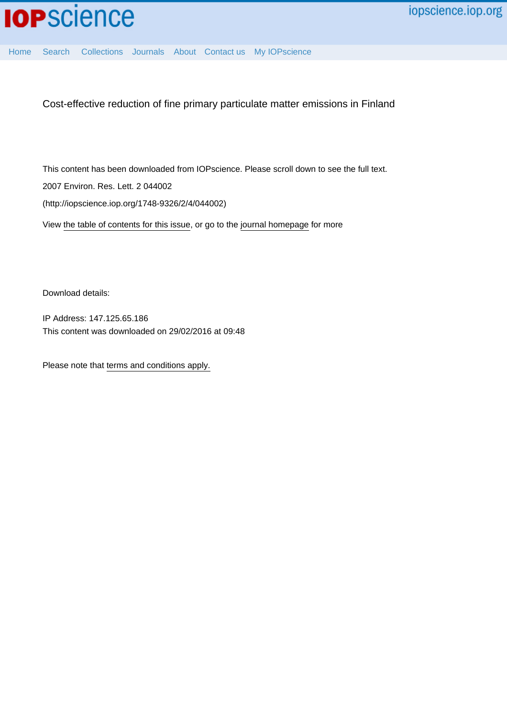

[Home](http://iopscience.iop.org/) [Search](http://iopscience.iop.org/search) [Collections](http://iopscience.iop.org/collections) [Journals](http://iopscience.iop.org/journals) [About](http://iopscience.iop.org/page/aboutioppublishing) [Contact us](http://iopscience.iop.org/contact) [My IOPscience](http://iopscience.iop.org/myiopscience)

Cost-effective reduction of fine primary particulate matter emissions in Finland

This content has been downloaded from IOPscience. Please scroll down to see the full text. 2007 Environ. Res. Lett. 2 044002 (http://iopscience.iop.org/1748-9326/2/4/044002)

View [the table of contents for this issue](http://iopscience.iop.org/1748-9326/2/4), or go to the [journal homepage](http://iopscience.iop.org/1748-9326) for more

Download details:

IP Address: 147.125.65.186 This content was downloaded on 29/02/2016 at 09:48

Please note that [terms and conditions apply.](iopscience.iop.org/page/terms)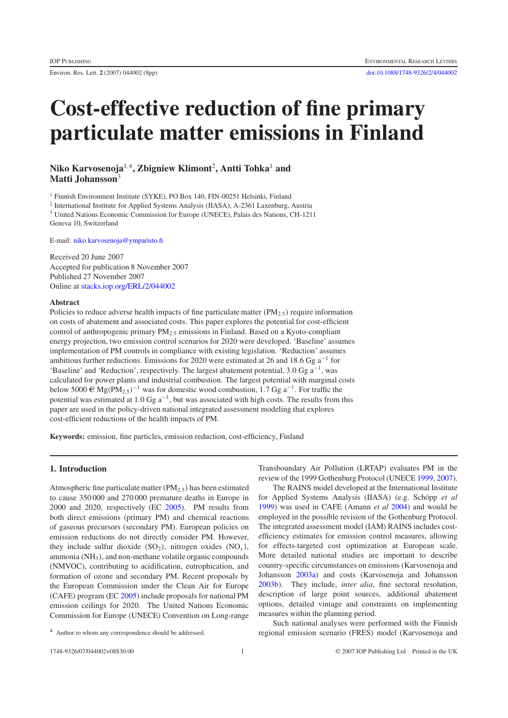# **Cost-effective reduction of fine primary particulate matter emissions in Finland**

# **Niko Karvosenoja**<sup>1</sup>,<sup>4</sup>**, Zbigniew Klimont**<sup>2</sup>**, Antti Tohka**<sup>1</sup> **and Matti Johansson**<sup>3</sup>

<sup>1</sup> Finnish Environment Institute (SYKE), PO Box 140, FIN-00251 Helsinki, Finland

<sup>2</sup> International Institute for Applied Systems Analysis (IIASA), A-2361 Laxenburg, Austria

<sup>3</sup> United Nations Economic Commission for Europe (UNECE), Palais des Nations, CH-1211 Geneva 10, Switzerland

E-mail: [niko.karvosenoja@ymparisto.fi](mailto:niko.karvosenoja@ymparisto.fi)

Received 20 June 2007 Accepted for publication 8 November 2007 Published 27 November 2007 Online at [stacks.iop.org/ERL/2/044002](http://stacks.iop.org/ERL/2/044002)

## **Abstract**

Policies to reduce adverse health impacts of fine particulate matter  $(PM_{2.5})$  require information on costs of abatement and associated costs. This paper explores the potential for cost-efficient control of anthropogenic primary  $PM_{2.5}$  emissions in Finland. Based on a Kyoto-compliant energy projection, two emission control scenarios for 2020 were developed. 'Baseline' assumes implementation of PM controls in compliance with existing legislation. 'Reduction' assumes ambitious further reductions. Emissions for 2020 were estimated at 26 and 18.6 Gg  $a^{-1}$  for 'Baseline' and 'Reduction', respectively. The largest abatement potential, 3.0 Gg  $a^{-1}$ , was calculated for power plants and industrial combustion. The largest potential with marginal costs below 5000 € Mg(PM<sub>2.5</sub>)<sup>-1</sup> was for domestic wood combustion, 1.7 Gg a<sup>-1</sup>. For traffic the potential was estimated at 1.0 Gg  $a^{-1}$ , but was associated with high costs. The results from this paper are used in the policy-driven national integrated assessment modeling that explores cost-efficient reductions of the health impacts of PM.

**Keywords:** emission, fine particles, emission reduction, cost-efficiency, Finland

# **1. Introduction**

Atmospheric fine particulate matter ( $PM_{2.5}$ ) has been estimated to cause 350 000 and 270 000 premature deaths in Europe in 2000 and 2020, respectively (EC [2005\)](#page-7-0). PM results from both direct emissions (primary PM) and chemical reactions of gaseous precursors (secondary PM). European policies on emission reductions do not directly consider PM. However, they include sulfur dioxide  $(SO_2)$ , nitrogen oxides  $(NO_x)$ , ammonia (NH3), and non-methane volatile organic compounds (NMVOC), contributing to acidification, eutrophication, and formation of ozone and secondary PM. Recent proposals by the European Commission under the Clean Air for Europe (CAFE) program (EC [2005\)](#page-7-0) include proposals for national PM emission ceilings for 2020. The United Nations Economic Commission for Europe (UNECE) Convention on Long-range

Transboundary Air Pollution (LRTAP) evaluates PM in the review of the 1999 Gothenburg Protocol (UNECE [1999,](#page-8-0) [2007\)](#page-8-1).

The RAINS model developed at the International Institute for Applied Systems Analysis (IIASA) (e.g. Schöpp et al [1999\)](#page-8-2) was used in CAFE (Amann *et al* [2004\)](#page-7-1) and would be employed in the possible revision of the Gothenburg Protocol. The integrated assessment model (IAM) RAINS includes costefficiency estimates for emission control measures, allowing for effects-targeted cost optimization at European scale. More detailed national studies are important to describe country-specific circumstances on emissions (Karvosenoja and Johansson [2003a\)](#page-8-3) and costs (Karvosenoja and Johansson [2003b\)](#page-8-4). They include, *inter alia*, fine sectoral resolution, description of large point sources, additional abatement options, detailed vintage and constraints on implementing measures within the planning period.

Such national analyses were performed with the Finnish regional emission scenario (FRES) model (Karvosenoja and

<sup>4</sup> Author to whom any correspondence should be addressed.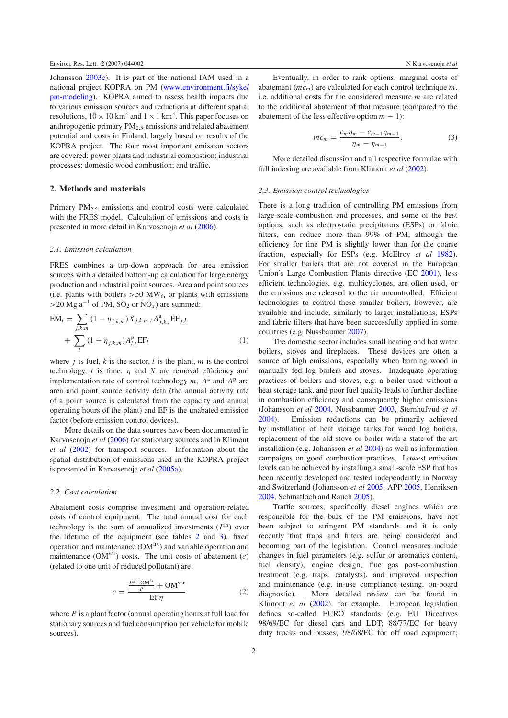Johansson [2003c\)](#page-8-5). It is part of the national IAM used in a national project KOPRA on PM [\(www.environment.fi/syke/](http://www.environment.fi/syke/pm-modeling) [pm-modeling\)](http://www.environment.fi/syke/pm-modeling). KOPRA aimed to assess health impacts due to various emission sources and reductions at different spatial resolutions,  $10 \times 10$  km<sup>2</sup> and  $1 \times 1$  km<sup>2</sup>. This paper focuses on anthropogenic primary  $PM<sub>2.5</sub>$  emissions and related abatement potential and costs in Finland, largely based on results of the KOPRA project. The four most important emission sectors are covered: power plants and industrial combustion; industrial processes; domestic wood combustion; and traffic.

# **2. Methods and materials**

Primary PM<sub>2.5</sub> emissions and control costs were calculated with the FRES model. Calculation of emissions and costs is presented in more detail in Karvosenoja *et al* [\(2006\)](#page-8-6).

## *2.1. Emission calculation*

FRES combines a top-down approach for area emission sources with a detailed bottom-up calculation for large energy production and industrial point sources. Area and point sources (i.e. plants with boilers  $>50$  MW<sub>th</sub> or plants with emissions  $>$ 20 Mg a<sup>-1</sup> of PM, SO<sub>2</sub> or NO<sub>x</sub>) are summed:

$$
EMt = \sum_{j,k,m} (1 - \eta_{j,k,m}) X_{j,k,m,t} A_{j,k,t}^{a} EF_{j,k}
$$
  
+ 
$$
\sum_{l} (1 - \eta_{j,k,m}) A_{l,t}^{p} EF_{l}
$$
 (1)

where  $j$  is fuel,  $k$  is the sector,  $l$  is the plant,  $m$  is the control technology,  $t$  is time,  $\eta$  and  $X$  are removal efficiency and implementation rate of control technology *m*, *A*<sup>a</sup> and *A*<sup>p</sup> are area and point source activity data (the annual activity rate of a point source is calculated from the capacity and annual operating hours of the plant) and EF is the unabated emission factor (before emission control devices).

More details on the data sources have been documented in Karvosenoja *et al* [\(2006\)](#page-8-6) for stationary sources and in Klimont *et al* [\(2002\)](#page-8-7) for transport sources. Information about the spatial distribution of emissions used in the KOPRA project is presented in Karvosenoja *et al* [\(2005a\)](#page-8-8).

#### *2.2. Cost calculation*

Abatement costs comprise investment and operation-related costs of control equipment. The total annual cost for each technology is the sum of annualized investments  $(I<sup>an</sup>)$  over the lifetime of the equipment (see tables [2](#page-3-0) and [3\)](#page-4-0), fixed operation and maintenance  $(OM<sup>fix</sup>)$  and variable operation and maintenance  $(OM<sup>var</sup>)$  costs. The unit costs of abatement  $(c)$ (related to one unit of reduced pollutant) are:

$$
c = \frac{\frac{I^{\text{an}} + \text{OM}^{\text{fix}}}{P} + \text{OM}^{\text{var}}}{\text{EF}\eta} \tag{2}
$$

where *P* is a plant factor (annual operating hours at full load for stationary sources and fuel consumption per vehicle for mobile sources).

Eventually, in order to rank options, marginal costs of abatement  $(mc_m)$  are calculated for each control technique  $m$ , i.e. additional costs for the considered measure *m* are related to the additional abatement of that measure (compared to the abatement of the less effective option  $m - 1$ :

$$
mc_m = \frac{c_m \eta_m - c_{m-1} \eta_{m-1}}{\eta_m - \eta_{m-1}}.
$$
 (3)

More detailed discussion and all respective formulae with full indexing are available from Klimont *et al* [\(2002\)](#page-8-7).

#### *2.3. Emission control technologies*

There is a long tradition of controlling PM emissions from large-scale combustion and processes, and some of the best options, such as electrostatic precipitators (ESPs) or fabric filters, can reduce more than 99% of PM, although the efficiency for fine PM is slightly lower than for the coarse fraction, especially for ESPs (e.g. McElroy *et al* [1982\)](#page-8-9). For smaller boilers that are not covered in the European Union's Large Combustion Plants directive (EC [2001\)](#page-7-2), less efficient technologies, e.g. multicyclones, are often used, or the emissions are released to the air uncontrolled. Efficient technologies to control these smaller boilers, however, are available and include, similarly to larger installations, ESPs and fabric filters that have been successfully applied in some countries (e.g. Nussbaumer [2007\)](#page-8-10).

The domestic sector includes small heating and hot water boilers, stoves and fireplaces. These devices are often a source of high emissions, especially when burning wood in manually fed log boilers and stoves. Inadequate operating practices of boilers and stoves, e.g. a boiler used without a heat storage tank, and poor fuel quality leads to further decline in combustion efficiency and consequently higher emissions (Johansson *et al* [2004,](#page-8-11) Nussbaumer [2003,](#page-8-12) Sternhufvud *et al* [2004\)](#page-8-13). Emission reductions can be primarily achieved by installation of heat storage tanks for wood log boilers, replacement of the old stove or boiler with a state of the art installation (e.g. Johansson *et al* [2004\)](#page-8-11) as well as information campaigns on good combustion practices. Lowest emission levels can be achieved by installing a small-scale ESP that has been recently developed and tested independently in Norway and Switzerland (Johansson *et al* [2005,](#page-8-14) APP [2005,](#page-7-3) Henriksen [2004,](#page-7-4) Schmatloch and Rauch [2005\)](#page-8-15).

Traffic sources, specifically diesel engines which are responsible for the bulk of the PM emissions, have not been subject to stringent PM standards and it is only recently that traps and filters are being considered and becoming part of the legislation. Control measures include changes in fuel parameters (e.g. sulfur or aromatics content, fuel density), engine design, flue gas post-combustion treatment (e.g. traps, catalysts), and improved inspection and maintenance (e.g. in-use compliance testing, on-board diagnostic). More detailed review can be found in Klimont *et al* [\(2002\)](#page-8-7), for example. European legislation defines so-called EURO standards (e.g. EU Directives 98/69/EC for diesel cars and LDT; 88/77/EC for heavy duty trucks and busses; 98/68/EC for off road equipment;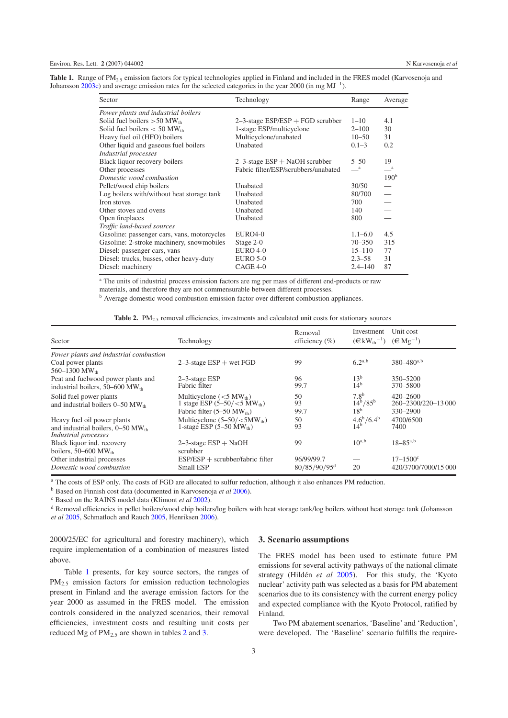<span id="page-3-1"></span>Table 1. Range of PM<sub>2.5</sub> emission factors for typical technologies applied in Finland and included in the FRES model (Karvosenoja and Johansson [2003c\)](#page-8-5) and average emission rates for the selected categories in the year 2000 (in mg MJ<sup>−</sup><sup>1</sup> ).

| Sector                                      | Technology                           | Range       | Average          |
|---------------------------------------------|--------------------------------------|-------------|------------------|
| Power plants and industrial boilers         |                                      |             |                  |
| Solid fuel boilers $> 50$ MW <sub>th</sub>  | $2-3$ -stage ESP/ESP + FGD scrubber  | $1 - 10$    | 4.1              |
| Solid fuel boilers $<$ 50 MW <sub>th</sub>  | 1-stage ESP/multicyclone             | $2 - 100$   | 30               |
| Heavy fuel oil (HFO) boilers                | Multicyclone/unabated                | $10 - 50$   | 31               |
| Other liquid and gaseous fuel boilers       | Unabated                             | $0.1 - 3$   | 0.2              |
| Industrial processes                        |                                      |             |                  |
| Black liquor recovery boilers               | $2-3$ -stage $ESP + NaOH$ scrubber   | $5 - 50$    | 19               |
| Other processes                             | Fabric filter/ESP/scrubbers/unabated | $-{}^a$     | $-{}^a$          |
| Domestic wood combustion                    |                                      |             | 190 <sup>b</sup> |
| Pellet/wood chip boilers                    | Unabated                             | 30/50       |                  |
| Log boilers with/without heat storage tank  | Unabated                             | 80/700      |                  |
| Iron stoves                                 | Unabated                             | 700         |                  |
| Other stoves and ovens                      | Unabated                             | 140         |                  |
| Open fireplaces                             | Unabated                             | 800         |                  |
| Traffic land-based sources                  |                                      |             |                  |
| Gasoline: passenger cars, vans, motorcycles | EURO4-0                              | $1.1 - 6.0$ | 4.5              |
| Gasoline: 2-stroke machinery, snowmobiles   | Stage 2-0                            | $70 - 350$  | 315              |
| Diesel: passenger cars, vans                | <b>EURO 4-0</b>                      | $15 - 110$  | 77               |
| Diesel: trucks, busses, other heavy-duty    | <b>EURO 5-0</b>                      | $2.3 - 58$  | 31               |
| Diesel: machinery                           | $CAGE 4-0$                           | $2.4 - 140$ | 87               |

<sup>a</sup> The units of industrial process emission factors are mg per mass of different end-products or raw

materials, and therefore they are not commensurable between different processes.

<sup>b</sup> Average domestic wood combustion emission factor over different combustion appliances.

<span id="page-3-0"></span>

| Sector                                                                                                 | Technology                                                                                                      | Removal<br>efficiency $(\% )$            | Investment<br>$(\text{E}{\rm kW}_{\rm th}^{-1})$ $(\text{E}{\rm Mg}^{-1})$ | Unit cost                                       |
|--------------------------------------------------------------------------------------------------------|-----------------------------------------------------------------------------------------------------------------|------------------------------------------|----------------------------------------------------------------------------|-------------------------------------------------|
| Power plants and industrial combustion                                                                 |                                                                                                                 |                                          |                                                                            |                                                 |
| Coal power plants<br>560–1300 MW <sub>th</sub>                                                         | $2-3$ -stage ESP + wet FGD                                                                                      | 99                                       | $6.2^{a,b}$                                                                | $380 - 480^{a,b}$                               |
| Peat and fuelwood power plants and<br>industrial boilers, $50-600$ MW <sub>th</sub>                    | $2-3$ -stage ESP<br>Fabric filter                                                                               | 96<br>99.7                               | 13 <sup>b</sup><br>14 <sup>b</sup>                                         | 350-5200<br>370-5800                            |
| Solid fuel power plants<br>and industrial boilers $0-50$ MW <sub>th</sub>                              | Multicyclone $(<5 MWth)$<br>1 stage ESP $(5-50/<5$ MW <sub>th</sub> )<br>Fabric filter $(5-50 \text{ MW}_{th})$ | 50<br>93<br>99.7                         | $7.8^{b}$<br>$14^{b}/85^{b}$<br>18 <sup>b</sup>                            | $420 - 2600$<br>260-2300/220-13 000<br>330-2900 |
| Heavy fuel oil power plants<br>and industrial boilers, $0-50$ MW <sub>th</sub><br>Industrial processes | Multicyclone $(5-50/<5MWth)$<br>1-stage ESP $(5-50 \text{ MW}_{\text{th}})$                                     | 50<br>93                                 | $\frac{4.6^b}{14^b}$ /6.4 <sup>b</sup>                                     | 4700/6500<br>7400                               |
| Black liquor ind. recovery<br>boilers, $50-600$ MW <sub>th</sub>                                       | $2-3$ -stage $ESP + NaOH$<br>scrubber                                                                           | 99                                       | $10^{a,b}$                                                                 | $18 - 85^{a,b}$                                 |
| Other industrial processes<br>Domestic wood combustion                                                 | $ESP/ESP + scrubber/fabric filter$<br>Small ESP                                                                 | 96/99/99.7<br>$80/85/90/95$ <sup>d</sup> | 20                                                                         | $17 - 1500^{\circ}$<br>420/3700/7000/15 000     |

Table 2. PM<sub>2.5</sub> removal efficiencies, investments and calculated unit costs for stationary sources

<sup>a</sup> The costs of ESP only. The costs of FGD are allocated to sulfur reduction, although it also enhances PM reduction.

<sup>b</sup> Based on Finnish cost data (documented in Karvosenoja *et al* [2006\)](#page-8-6).

<sup>c</sup> Based on the RAINS model data (Klimont *et al* [2002\)](#page-8-7).

<sup>d</sup> Removal efficiencies in pellet boilers/wood chip boilers/log boilers with heat storage tank/log boilers without heat storage tank (Johansson *et al* [2005,](#page-8-14) Schmatloch and Rauch [2005,](#page-8-15) Henriksen [2006\)](#page-8-16).

2000/25/EC for agricultural and forestry machinery), which require implementation of a combination of measures listed above.

Table [1](#page-3-1) presents, for key source sectors, the ranges of PM2.<sup>5</sup> emission factors for emission reduction technologies present in Finland and the average emission factors for the year 2000 as assumed in the FRES model. The emission controls considered in the analyzed scenarios, their removal efficiencies, investment costs and resulting unit costs per reduced Mg of PM2.<sup>5</sup> are shown in tables [2](#page-3-0) and [3.](#page-4-0)

# **3. Scenario assumptions**

The FRES model has been used to estimate future PM emissions for several activity pathways of the national climate strategy (Hildén et al [2005\)](#page-8-17). For this study, the 'Kyoto nuclear' activity path was selected as a basis for PM abatement scenarios due to its consistency with the current energy policy and expected compliance with the Kyoto Protocol, ratified by Finland.

Two PM abatement scenarios, 'Baseline' and 'Reduction', were developed. The 'Baseline' scenario fulfills the require-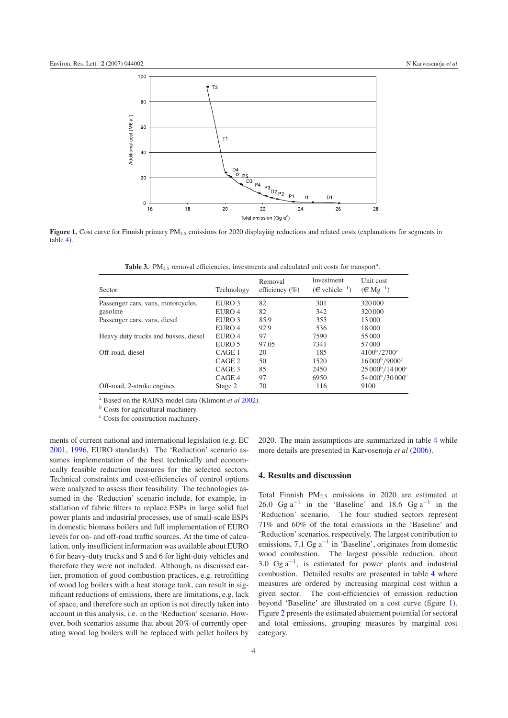<span id="page-4-1"></span>

<span id="page-4-0"></span>**Figure 1.** Cost curve for Finnish primary PM<sub>2.5</sub> emissions for 2020 displaying reductions and related costs (explanations for segments in table [4\)](#page-5-0).

Table 3. PM<sub>2.5</sub> removal efficiencies, investments and calculated unit costs for transport<sup>a</sup>.

| Sector                               | Technology | Removal<br>efficiency $(\% )$ | Investment<br>$(\in$ vehicle <sup>-1</sup> ) | Unit cost<br>$(\in \mathbf{Mg}^{-1})$ |
|--------------------------------------|------------|-------------------------------|----------------------------------------------|---------------------------------------|
| Passenger cars, vans, motorcycles,   | EURO 3     | 82                            | 301                                          | 320 000                               |
| gasoline                             | EURO 4     | 82                            | 342                                          | 320 000                               |
| Passenger cars, vans, diesel         | EURO 3     | 85.9                          | 355                                          | 13000                                 |
|                                      | EURO 4     | 92.9                          | 536                                          | 18 000                                |
| Heavy duty trucks and busses, diesel | EURO 4     | 97                            | 7590                                         | 55 000                                |
|                                      | EURO 5     | 97.05                         | 7341                                         | 57000                                 |
| Off-road, diesel                     | CAGE 1     | 20                            | 185                                          | $4100^b/2700^c$                       |
|                                      | CAGE 2     | 50                            | 1520                                         | $16000^{\rm b}/9000^{\rm c}$          |
|                                      | CAGE 3     | 85                            | 2450                                         | $25000^{\rm b}/14000^{\rm c}$         |
|                                      | CAGE 4     | 97                            | 6950                                         | $54000^{\rm b}/30000^{\rm c}$         |
| Off-road, 2-stroke engines           | Stage 2    | 70                            | 116                                          | 9100                                  |

<sup>a</sup> Based on the RAINS model data (Klimont *et al* [2002\)](#page-8-7).

**b** Costs for agricultural machinery.

<sup>c</sup> Costs for construction machinery.

ments of current national and international legislation (e.g. EC [2001,](#page-7-2) [1996,](#page-7-5) EURO standards). The 'Reduction' scenario assumes implementation of the best technically and economically feasible reduction measures for the selected sectors. Technical constraints and cost-efficiencies of control options were analyzed to assess their feasibility. The technologies assumed in the 'Reduction' scenario include, for example, installation of fabric filters to replace ESPs in large solid fuel power plants and industrial processes, use of small-scale ESPs in domestic biomass boilers and full implementation of EURO levels for on- and off-road traffic sources. At the time of calculation, only insufficient information was available about EURO 6 for heavy-duty trucks and 5 and 6 for light-duty vehicles and therefore they were not included. Although, as discussed earlier, promotion of good combustion practices, e.g. retrofitting of wood log boilers with a heat storage tank, can result in significant reductions of emissions, there are limitations, e.g. lack of space, and therefore such an option is not directly taken into account in this analysis, i.e. in the 'Reduction' scenario. However, both scenarios assume that about 20% of currently operating wood log boilers will be replaced with pellet boilers by 2020. The main assumptions are summarized in table [4](#page-5-0) while more details are presented in Karvosenoja *et al* [\(2006\)](#page-8-6).

# **4. Results and discussion**

Total Finnish  $PM_{2.5}$  emissions in 2020 are estimated at 26.0 Gg  $a^{-1}$  in the 'Baseline' and 18.6 Gg  $a^{-1}$  in the 'Reduction' scenario. The four studied sectors represent 71% and 60% of the total emissions in the 'Baseline' and 'Reduction' scenarios, respectively. The largest contribution to emissions, 7.1 Gg  $a^{-1}$  in 'Baseline', originates from domestic wood combustion. The largest possible reduction, about 3.0  $\text{Gg a}^{-1}$ , is estimated for power plants and industrial combustion. Detailed results are presented in table [4](#page-5-0) where measures are ordered by increasing marginal cost within a given sector. The cost-efficiencies of emission reduction beyond 'Baseline' are illustrated on a cost curve (figure [1\)](#page-4-1). Figure [2](#page-6-0) presents the estimated abatement potential for sectoral and total emissions, grouping measures by marginal cost category.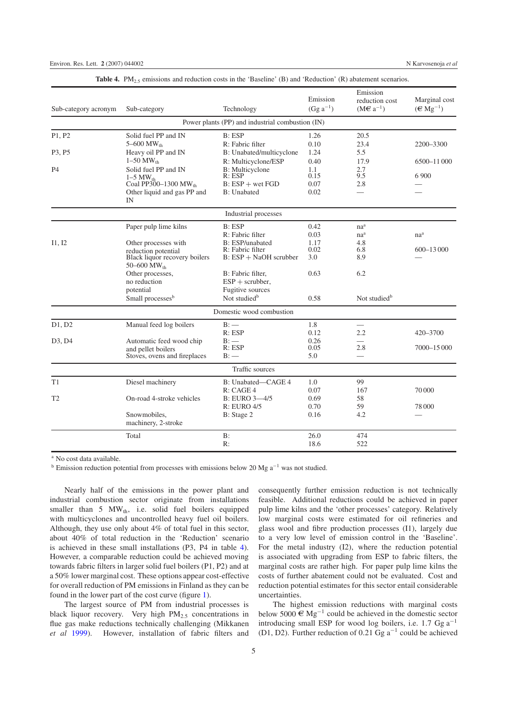<span id="page-5-0"></span>

| Sub-category acronym            | Sub-category                                                                      | Technology                                       | Emission<br>$(Gg a^{-1})$ | Emission<br>reduction cost<br>$(M\mathfrak{E} a^{-1})$ | Marginal cost<br>$(\in \mathrm{Mg}^{-1})$ |
|---------------------------------|-----------------------------------------------------------------------------------|--------------------------------------------------|---------------------------|--------------------------------------------------------|-------------------------------------------|
|                                 |                                                                                   | Power plants (PP) and industrial combustion (IN) |                           |                                                        |                                           |
| P1, P2                          | Solid fuel PP and IN                                                              | <b>B: ESP</b>                                    | 1.26                      | 20.5                                                   |                                           |
|                                 | 5–600 MW <sub>th</sub>                                                            | R: Fabric filter                                 | 0.10                      | 23.4                                                   | 2200-3300                                 |
| P3, P5                          | Heavy oil PP and IN                                                               | B: Unabated/multicyclone                         | 1.24                      | 5.5                                                    |                                           |
|                                 | $1-50$ MW <sub>th</sub>                                                           | R: Multicyclone/ESP                              | 0.40                      | 17.9                                                   | 6500-11000                                |
| P <sub>4</sub>                  | Solid fuel PP and IN                                                              | <b>B:</b> Multicyclone                           | 1.1                       | 2.7                                                    |                                           |
|                                 | $1\text{--}5\ \mathrm{MW}_{\text{th}}$ Coal PP300--1300 $\mathrm{MW}_{\text{th}}$ | R: ESP                                           | 0.15                      | 9.5                                                    | 6 900                                     |
|                                 |                                                                                   | $B: ESP + wet FGD$                               | 0.07                      | 2.8                                                    |                                           |
|                                 | Other liquid and gas PP and<br>IN                                                 | <b>B</b> : Unabated                              | 0.02                      |                                                        |                                           |
|                                 |                                                                                   | Industrial processes                             |                           |                                                        |                                           |
|                                 | Paper pulp lime kilns                                                             | B: ESP                                           | 0.42                      | na <sup>a</sup>                                        |                                           |
|                                 |                                                                                   | R: Fabric filter                                 | 0.03                      | na <sup>a</sup>                                        | na <sup>a</sup>                           |
| I1, I2                          | Other processes with                                                              | B: ESP/unabated                                  | 1.17                      | 4.8                                                    |                                           |
|                                 | reduction potential                                                               | R: Fabric filter                                 | 0.02                      | 6.8                                                    | 600-13 000                                |
|                                 | Black liquor recovery boilers<br>50–600 $MW_{th}$                                 | $B: ESP + NaOH$ scrubber                         | 3.0                       | 8.9                                                    |                                           |
|                                 | Other processes,                                                                  | B: Fabric filter,                                | 0.63                      | 6.2                                                    |                                           |
|                                 | no reduction                                                                      | $ESP + scrubber,$                                |                           |                                                        |                                           |
|                                 | potential                                                                         | Fugitive sources                                 |                           |                                                        |                                           |
|                                 | Small processes <sup>b</sup>                                                      | Not studied <sup>b</sup>                         | 0.58                      | Not studied <sup>b</sup>                               |                                           |
|                                 |                                                                                   | Domestic wood combustion                         |                           |                                                        |                                           |
| D1.D2                           | Manual feed log boilers                                                           | $B:$ —                                           | 1.8                       |                                                        |                                           |
|                                 |                                                                                   | R: ESP                                           | 0.12                      | 2.2                                                    | 420-3700                                  |
| D <sub>3</sub> , D <sub>4</sub> | Automatic feed wood chip                                                          | $B:$ —                                           | 0.26                      |                                                        |                                           |
|                                 | and pellet boilers                                                                | R: ESP                                           | 0.05                      | 2.8                                                    | 7000-15 000                               |
|                                 | Stoves, ovens and fireplaces                                                      | $B:$ —                                           | 5.0                       |                                                        |                                           |
|                                 |                                                                                   | Traffic sources                                  |                           |                                                        |                                           |
| T1                              | Diesel machinery                                                                  | B: Unabated—CAGE 4                               | 1.0                       | 99                                                     |                                           |
|                                 |                                                                                   | R: CAGE 4                                        | 0.07                      | 167                                                    | 70 000                                    |
| T <sub>2</sub>                  | On-road 4-stroke vehicles                                                         | <b>B:</b> EURO 3-4/5                             | 0.69                      | 58                                                     |                                           |
|                                 |                                                                                   | <b>R: EURO 4/5</b>                               | 0.70                      | 59                                                     | 78 000                                    |
|                                 | Snowmobiles,<br>machinery, 2-stroke                                               | B: Stage 2                                       | 0.16                      | 4.2                                                    |                                           |
|                                 | Total                                                                             | B:                                               | 26.0                      | 474                                                    |                                           |
|                                 |                                                                                   | R:                                               | 18.6                      | 522                                                    |                                           |

**Table 4.** PM<sub>2.5</sub> emissions and reduction costs in the 'Baseline' (B) and 'Reduction' (R) abatement scenarios.

<sup>a</sup> No cost data available.

<sup>b</sup> Emission reduction potential from processes with emissions below 20 Mg a<sup>−</sup><sup>1</sup> was not studied.

Nearly half of the emissions in the power plant and industrial combustion sector originate from installations smaller than  $5 \text{MW}_{th}$ , i.e. solid fuel boilers equipped with multicyclones and uncontrolled heavy fuel oil boilers. Although, they use only about 4% of total fuel in this sector, about 40% of total reduction in the 'Reduction' scenario is achieved in these small installations (P3, P4 in table [4\)](#page-5-0). However, a comparable reduction could be achieved moving towards fabric filters in larger solid fuel boilers (P1, P2) and at a 50% lower marginal cost. These options appear cost-effective for overall reduction of PM emissions in Finland as they can be found in the lower part of the cost curve (figure [1\)](#page-4-1).

The largest source of PM from industrial processes is black liquor recovery. Very high  $PM_{2.5}$  concentrations in flue gas make reductions technically challenging (Mikkanen *et al* [1999\)](#page-8-18). However, installation of fabric filters and consequently further emission reduction is not technically feasible. Additional reductions could be achieved in paper pulp lime kilns and the 'other processes' category. Relatively low marginal costs were estimated for oil refineries and glass wool and fibre production processes (I1), largely due to a very low level of emission control in the 'Baseline'. For the metal industry (I2), where the reduction potential is associated with upgrading from ESP to fabric filters, the marginal costs are rather high. For paper pulp lime kilns the costs of further abatement could not be evaluated. Cost and reduction potential estimates for this sector entail considerable uncertainties.

The highest emission reductions with marginal costs below 5000  $\text{€ Mg}^{-1}$  could be achieved in the domestic sector introducing small ESP for wood log boilers, i.e.  $1.7 \text{ Gg a}^{-1}$ (D1, D2). Further reduction of 0.21 Gg  $a^{-1}$  could be achieved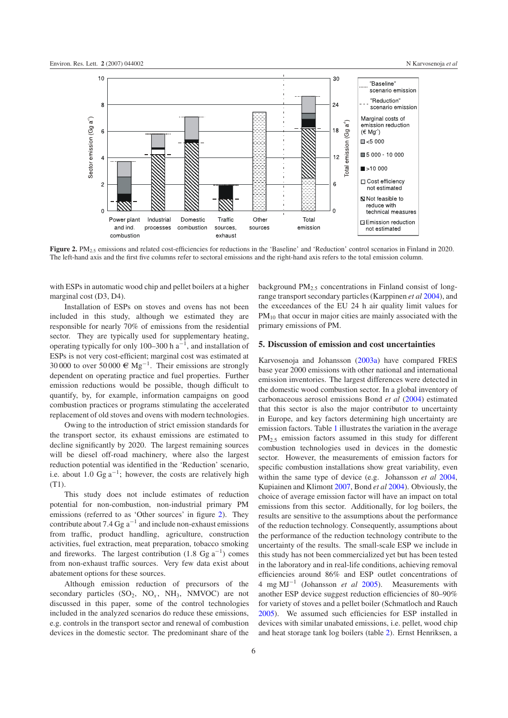<span id="page-6-0"></span>

**Figure 2.** PM<sub>2.5</sub> emissions and related cost-efficiencies for reductions in the 'Baseline' and 'Reduction' control scenarios in Finland in 2020. The left-hand axis and the first five columns refer to sectoral emissions and the right-hand axis refers to the total emission column.

with ESPs in automatic wood chip and pellet boilers at a higher marginal cost (D3, D4).

Installation of ESPs on stoves and ovens has not been included in this study, although we estimated they are responsible for nearly 70% of emissions from the residential sector. They are typically used for supplementary heating, operating typically for only 100–300 h  $a^{-1}$ , and installation of ESPs is not very cost-efficient; marginal cost was estimated at 30 000 to over 50 000 €  $Mg^{-1}$ . Their emissions are strongly dependent on operating practice and fuel properties. Further emission reductions would be possible, though difficult to quantify, by, for example, information campaigns on good combustion practices or programs stimulating the accelerated replacement of old stoves and ovens with modern technologies.

Owing to the introduction of strict emission standards for the transport sector, its exhaust emissions are estimated to decline significantly by 2020. The largest remaining sources will be diesel off-road machinery, where also the largest reduction potential was identified in the 'Reduction' scenario, i.e. about 1.0  $\text{Gg a}^{-1}$ ; however, the costs are relatively high (T1).

This study does not include estimates of reduction potential for non-combustion, non-industrial primary PM emissions (referred to as 'Other sources' in figure [2\)](#page-6-0). They contribute about 7.4 Gg  $a^{-1}$  and include non-exhaust emissions from traffic, product handling, agriculture, construction activities, fuel extraction, meat preparation, tobacco smoking and fireworks. The largest contribution  $(1.8 \text{ Gg a}^{-1})$  comes from non-exhaust traffic sources. Very few data exist about abatement options for these sources.

Although emission reduction of precursors of the secondary particles  $(SO_2, NO_x, NH_3, NMVOC)$  are not discussed in this paper, some of the control technologies included in the analyzed scenarios do reduce these emissions, e.g. controls in the transport sector and renewal of combustion devices in the domestic sector. The predominant share of the background  $PM_{2.5}$  concentrations in Finland consist of longrange transport secondary particles (Karppinen *et al* [2004\)](#page-8-19), and the exceedances of the EU 24 h air quality limit values for PM<sub>10</sub> that occur in major cities are mainly associated with the primary emissions of PM.

# **5. Discussion of emission and cost uncertainties**

Karvosenoja and Johansson [\(2003a\)](#page-8-3) have compared FRES base year 2000 emissions with other national and international emission inventories. The largest differences were detected in the domestic wood combustion sector. In a global inventory of carbonaceous aerosol emissions Bond *et al* [\(2004\)](#page-7-6) estimated that this sector is also the major contributor to uncertainty in Europe, and key factors determining high uncertainty are emission factors. Table [1](#page-3-1) illustrates the variation in the average  $PM<sub>2.5</sub>$  emission factors assumed in this study for different combustion technologies used in devices in the domestic sector. However, the measurements of emission factors for specific combustion installations show great variability, even within the same type of device (e.g. Johansson *et al* [2004,](#page-8-11) Kupiainen and Klimont [2007,](#page-8-20) Bond *et al* [2004\)](#page-7-6). Obviously, the choice of average emission factor will have an impact on total emissions from this sector. Additionally, for log boilers, the results are sensitive to the assumptions about the performance of the reduction technology. Consequently, assumptions about the performance of the reduction technology contribute to the uncertainty of the results. The small-scale ESP we include in this study has not been commercialized yet but has been tested in the laboratory and in real-life conditions, achieving removal efficiencies around 86% and ESP outlet concentrations of 4 mg MJ−<sup>1</sup> (Johansson *et al* [2005\)](#page-8-14). Measurements with another ESP device suggest reduction efficiencies of 80–90% for variety of stoves and a pellet boiler (Schmatloch and Rauch [2005\)](#page-8-15). We assumed such efficiencies for ESP installed in devices with similar unabated emissions, i.e. pellet, wood chip and heat storage tank log boilers (table [2\)](#page-3-0). Ernst Henriksen, a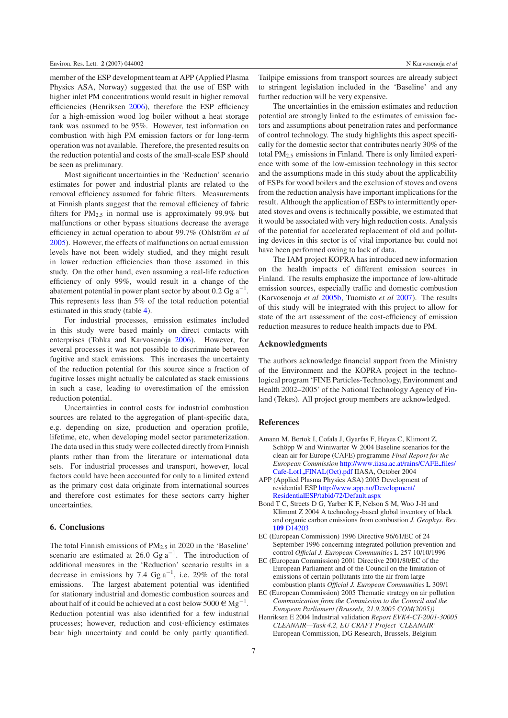member of the ESP development team at APP (Applied Plasma Physics ASA, Norway) suggested that the use of ESP with higher inlet PM concentrations would result in higher removal efficiencies (Henriksen [2006\)](#page-8-16), therefore the ESP efficiency for a high-emission wood log boiler without a heat storage tank was assumed to be 95%. However, test information on combustion with high PM emission factors or for long-term operation was not available. Therefore, the presented results on the reduction potential and costs of the small-scale ESP should be seen as preliminary.

Most significant uncertainties in the 'Reduction' scenario estimates for power and industrial plants are related to the removal efficiency assumed for fabric filters. Measurements at Finnish plants suggest that the removal efficiency of fabric filters for  $PM_{2.5}$  in normal use is approximately 99.9% but malfunctions or other bypass situations decrease the average efficiency in actual operation to about 99.7% (Ohlström et al [2005\)](#page-8-21). However, the effects of malfunctions on actual emission levels have not been widely studied, and they might result in lower reduction efficiencies than those assumed in this study. On the other hand, even assuming a real-life reduction efficiency of only 99%, would result in a change of the abatement potential in power plant sector by about 0.2  $\text{Gg a}^{-1}$ . This represents less than 5% of the total reduction potential estimated in this study (table [4\)](#page-5-0).

For industrial processes, emission estimates included in this study were based mainly on direct contacts with enterprises (Tohka and Karvosenoja [2006\)](#page-8-22). However, for several processes it was not possible to discriminate between fugitive and stack emissions. This increases the uncertainty of the reduction potential for this source since a fraction of fugitive losses might actually be calculated as stack emissions in such a case, leading to overestimation of the emission reduction potential.

Uncertainties in control costs for industrial combustion sources are related to the aggregation of plant-specific data, e.g. depending on size, production and operation profile, lifetime, etc, when developing model sector parameterization. The data used in this study were collected directly from Finnish plants rather than from the literature or international data sets. For industrial processes and transport, however, local factors could have been accounted for only to a limited extend as the primary cost data originate from international sources and therefore cost estimates for these sectors carry higher uncertainties.

# **6. Conclusions**

The total Finnish emissions of  $PM_{2.5}$  in 2020 in the 'Baseline' scenario are estimated at 26.0 Gg  $a^{-1}$ . The introduction of additional measures in the 'Reduction' scenario results in a decrease in emissions by 7.4  $Gg a^{-1}$ , i.e. 29% of the total emissions. The largest abatement potential was identified for stationary industrial and domestic combustion sources and about half of it could be achieved at a cost below  $5000 \in Mg^{-1}$ . Reduction potential was also identified for a few industrial processes; however, reduction and cost-efficiency estimates bear high uncertainty and could be only partly quantified. Tailpipe emissions from transport sources are already subject to stringent legislation included in the 'Baseline' and any further reduction will be very expensive.

The uncertainties in the emission estimates and reduction potential are strongly linked to the estimates of emission factors and assumptions about penetration rates and performance of control technology. The study highlights this aspect specifically for the domestic sector that contributes nearly 30% of the total  $PM<sub>2.5</sub>$  emissions in Finland. There is only limited experience with some of the low-emission technology in this sector and the assumptions made in this study about the applicability of ESPs for wood boilers and the exclusion of stoves and ovens from the reduction analysis have important implications for the result. Although the application of ESPs to intermittently operated stoves and ovens is technically possible, we estimated that it would be associated with very high reduction costs. Analysis of the potential for accelerated replacement of old and polluting devices in this sector is of vital importance but could not have been performed owing to lack of data.

The IAM project KOPRA has introduced new information on the health impacts of different emission sources in Finland. The results emphasize the importance of low-altitude emission sources, especially traffic and domestic combustion (Karvosenoja *et al* [2005b,](#page-8-23) Tuomisto *et al* [2007\)](#page-8-24). The results of this study will be integrated with this project to allow for state of the art assessment of the cost-efficiency of emission reduction measures to reduce health impacts due to PM.

## **Acknowledgments**

<span id="page-7-1"></span>The authors acknowledge financial support from the Ministry of the Environment and the KOPRA project in the technological program 'FINE Particles-Technology, Environment and Health 2002–2005' of the National Technology Agency of Finland (Tekes). All project group members are acknowledged.

#### <span id="page-7-3"></span>**References**

- <span id="page-7-6"></span>Amann M, Bertok I, Cofala J, Gyarfas F, Heyes C, Klimont Z, Schöpp W and Winiwarter W 2004 Baseline scenarios for the clean air for Europe (CAFE) programme *Final Report for the European Commission* [http://www.iiasa.ac.at/rains/CAFE](http://www.iiasa.ac.at/rains/CAFE{_}files/Cafe-Lot1{_}FINAL(Oct).pdf) [files/](http://www.iiasa.ac.at/rains/CAFE{_}files/Cafe-Lot1{_}FINAL(Oct).pdf) [Cafe-Lot1](http://www.iiasa.ac.at/rains/CAFE{_}files/Cafe-Lot1{_}FINAL(Oct).pdf) [FINAL\(Oct\).pdf](http://www.iiasa.ac.at/rains/CAFE{_}files/Cafe-Lot1{_}FINAL(Oct).pdf) IIASA, October 2004
- <span id="page-7-5"></span>APP (Applied Plasma Physics ASA) 2005 Development of residential ESP [http://www.app.no/Development/](http://www.app.no/Development/ResidentialESP/tabid/72/Default.aspx) [ResidentialESP/tabid/72/Default.aspx](http://www.app.no/Development/ResidentialESP/tabid/72/Default.aspx)
- <span id="page-7-2"></span>Bond T C, Streets D G, Yarber K F, Nelson S M, Woo J-H and Klimont Z 2004 A technology-based global inventory of black and organic carbon emissions from combustion *J. Geophys. Res.* **109** [D14203](http://dx.doi.org/10.1029/2003JD003697)
- <span id="page-7-0"></span>EC (European Commission) 1996 Directive 96/61/EC of 24 September 1996 concerning integrated pollution prevention and control *Official J. European Communities* L 257 10/10/1996
- <span id="page-7-4"></span>EC (European Commission) 2001 Directive 2001/80/EC of the European Parliament and of the Council on the limitation of emissions of certain pollutants into the air from large combustion plants *Official J. European Communities* L 309/1
- EC (European Commission) 2005 Thematic strategy on air pollution *Communication from the Commission to the Council and the European Parliament (Brussels, 21.9.2005 COM(2005))*
- Henriksen E 2004 Industrial validation *Report EVK4-CT-2001-30005 CLEANAIR—Task 4.2, EU CRAFT Project 'CLEANAIR'* European Commission, DG Research, Brussels, Belgium